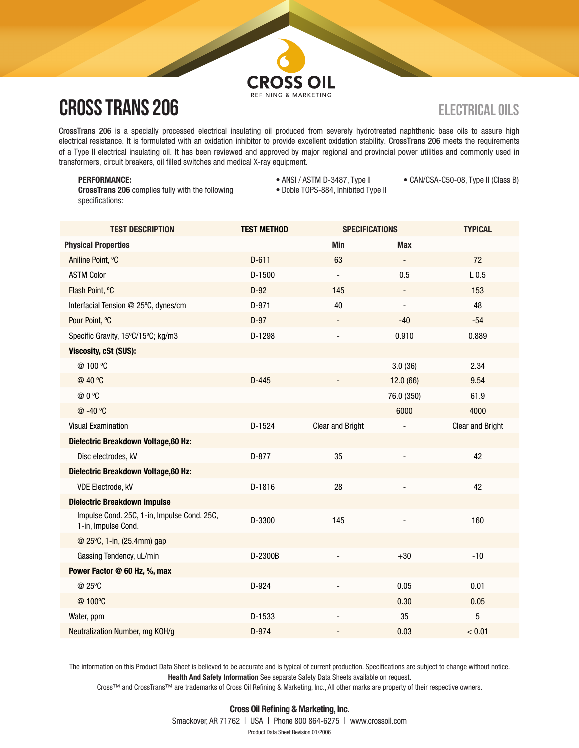# **CROSS OIL**

## **CROSS TRANS 206**

CrossTrans 206 is a specially processed electrical insulating oil produced from severely hydrotreated naphthenic base oils to assure high electrical resistance. It is formulated with an oxidation inhibitor to provide excellent oxidation stability. CrossTrans 206 meets the requirements of a Type II electrical insulating oil. It has been reviewed and approved by major regional and provincial power utilities and commonly used in transformers, circuit breakers, oil filled switches and medical X-ray equipment.

## PERFORMANCE:

CrossTrans 206 complies fully with the following specifications:

- ANSI / ASTM D-3487, Type II • Doble TOPS-884, Inhibited Type II
- CAN/CSA-C50-08, Type II (Class B)

| <b>TEST DESCRIPTION</b>                                            | <b>TEST METHOD</b> | <b>SPECIFICATIONS</b>   |                              | <b>TYPICAL</b>          |
|--------------------------------------------------------------------|--------------------|-------------------------|------------------------------|-------------------------|
| <b>Physical Properties</b>                                         |                    | <b>Min</b>              | <b>Max</b>                   |                         |
| Aniline Point, °C                                                  | $D-611$            | 63                      |                              | 72                      |
| <b>ASTM Color</b>                                                  | D-1500             |                         | 0.5                          | L <sub>0.5</sub>        |
| Flash Point, °C                                                    | $D-92$             | 145                     | $\qquad \qquad \blacksquare$ | 153                     |
| Interfacial Tension @ 25°C, dynes/cm                               | D-971              | 40                      | $\overline{\phantom{a}}$     | 48                      |
| Pour Point, °C                                                     | $D-97$             |                         | $-40$                        | $-54$                   |
| Specific Gravity, 15°C/15°C; kg/m3                                 | D-1298             |                         | 0.910                        | 0.889                   |
| <b>Viscosity, cSt (SUS):</b>                                       |                    |                         |                              |                         |
| @100 °C                                                            |                    |                         | 3.0(36)                      | 2.34                    |
| @ 40 °C                                                            | $D-445$            |                         | 12.0 (66)                    | 9.54                    |
| @ 0 °C                                                             |                    |                         | 76.0 (350)                   | 61.9                    |
| @-40 °C                                                            |                    |                         | 6000                         | 4000                    |
| <b>Visual Examination</b>                                          | D-1524             | <b>Clear and Bright</b> |                              | <b>Clear and Bright</b> |
| Dielectric Breakdown Voltage, 60 Hz:                               |                    |                         |                              |                         |
| Disc electrodes, kV                                                | $D-877$            | 35                      |                              | 42                      |
| Dielectric Breakdown Voltage, 60 Hz:                               |                    |                         |                              |                         |
| <b>VDE Electrode, kV</b>                                           | D-1816             | 28                      | $\blacksquare$               | 42                      |
| <b>Dielectric Breakdown Impulse</b>                                |                    |                         |                              |                         |
| Impulse Cond. 25C, 1-in, Impulse Cond. 25C,<br>1-in, Impulse Cond. | D-3300             | 145                     | $\blacksquare$               | 160                     |
| @ 25°C, 1-in, (25.4mm) gap                                         |                    |                         |                              |                         |
| Gassing Tendency, uL/min                                           | D-2300B            |                         | $+30$                        | $-10$                   |
| Power Factor @ 60 Hz, %, max                                       |                    |                         |                              |                         |
| @ 25°C                                                             | $D-924$            |                         | 0.05                         | 0.01                    |
| @100°C                                                             |                    |                         | 0.30                         | 0.05                    |
| Water, ppm                                                         | D-1533             |                         | 35                           | 5                       |
| Neutralization Number, mg KOH/g                                    | $D-974$            |                         | 0.03                         | < 0.01                  |
|                                                                    |                    |                         |                              |                         |

The information on this Product Data Sheet is believed to be accurate and is typical of current production. Specifications are subject to change without notice. Health And Safety Information See separate Safety Data Sheets available on request.

Cross™ and CrossTrans™ are trademarks of Cross Oil Refining & Marketing, Inc., All other marks are property of their respective owners.